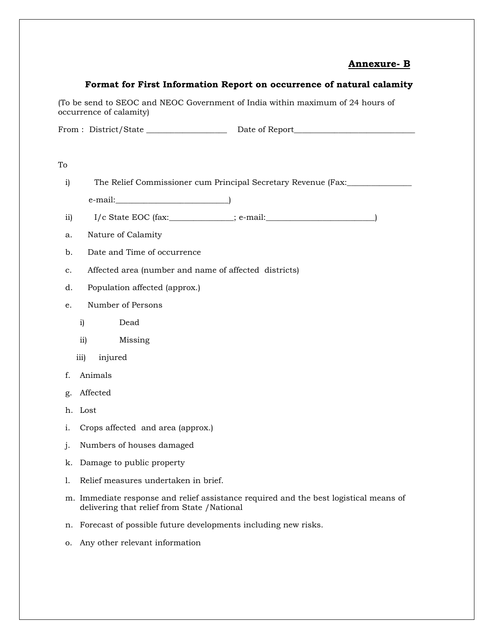### **Annexure- B**

#### **Format for First Information Report on occurrence of natural calamity**

(To be send to SEOC and NEOC Government of India within maximum of 24 hours of occurrence of calamity)

From : District/State \_\_\_\_\_\_\_\_\_\_\_\_\_\_\_\_\_\_\_\_ Date of Report\_\_\_\_\_\_\_\_\_\_\_\_\_\_\_\_\_\_\_\_\_\_\_\_\_\_\_\_\_\_

i) The Relief Commissioner cum Principal Secretary Revenue (Fax: \_\_\_\_\_\_\_\_\_\_\_\_\_\_\_

e-mail:\_\_\_\_\_\_\_\_\_\_\_\_\_\_\_\_\_\_\_\_\_\_\_\_\_\_\_\_)

ii) I/c State EOC (fax:\_\_\_\_\_\_\_\_\_\_\_\_\_\_\_\_; e-mail:\_\_\_\_\_\_\_\_\_\_\_\_\_\_\_\_\_\_\_\_\_\_\_\_\_\_\_)

- a. Nature of Calamity
- b. Date and Time of occurrence
- c. Affected area (number and name of affected districts)
- d. Population affected (approx.)

#### e. Number of Persons

- i) Dead
- ii) Missing
- iii) injured
- f. Animals
- g. Affected
- h. Lost
- i. Crops affected and area (approx.)
- j. Numbers of houses damaged
- k. Damage to public property
- l. Relief measures undertaken in brief.
- m. Immediate response and relief assistance required and the best logistical means of delivering that relief from State /National
- n. Forecast of possible future developments including new risks.
- o. Any other relevant information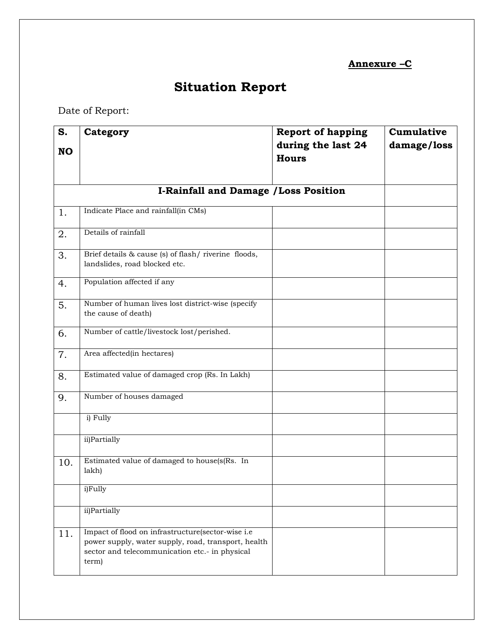## **Annexure –C**

# **Situation Report**

Date of Report:

| S.        | Category                                                                                                                                                            | <b>Report of happing</b> | Cumulative  |  |  |
|-----------|---------------------------------------------------------------------------------------------------------------------------------------------------------------------|--------------------------|-------------|--|--|
| <b>NO</b> |                                                                                                                                                                     | during the last 24       | damage/loss |  |  |
|           |                                                                                                                                                                     | <b>Hours</b>             |             |  |  |
|           |                                                                                                                                                                     |                          |             |  |  |
|           | <b>I-Rainfall and Damage / Loss Position</b>                                                                                                                        |                          |             |  |  |
| 1.        | Indicate Place and rainfall(in CMs)                                                                                                                                 |                          |             |  |  |
| 2.        | Details of rainfall                                                                                                                                                 |                          |             |  |  |
| 3.        | Brief details & cause (s) of flash/riverine floods,<br>landslides, road blocked etc.                                                                                |                          |             |  |  |
| 4.        | Population affected if any                                                                                                                                          |                          |             |  |  |
| 5.        | Number of human lives lost district-wise (specify<br>the cause of death)                                                                                            |                          |             |  |  |
| 6.        | Number of cattle/livestock lost/perished.                                                                                                                           |                          |             |  |  |
| 7.        | Area affected(in hectares)                                                                                                                                          |                          |             |  |  |
| 8.        | Estimated value of damaged crop (Rs. In Lakh)                                                                                                                       |                          |             |  |  |
| 9.        | Number of houses damaged                                                                                                                                            |                          |             |  |  |
|           | i) Fully                                                                                                                                                            |                          |             |  |  |
|           | ii)Partially                                                                                                                                                        |                          |             |  |  |
| 10.       | Estimated value of damaged to house(s(Rs. In<br>lakh)                                                                                                               |                          |             |  |  |
|           | i)Fully                                                                                                                                                             |                          |             |  |  |
|           | ii)Partially                                                                                                                                                        |                          |             |  |  |
| 11.       | Impact of flood on infrastructure(sector-wise i.e<br>power supply, water supply, road, transport, health<br>sector and telecommunication etc.- in physical<br>term) |                          |             |  |  |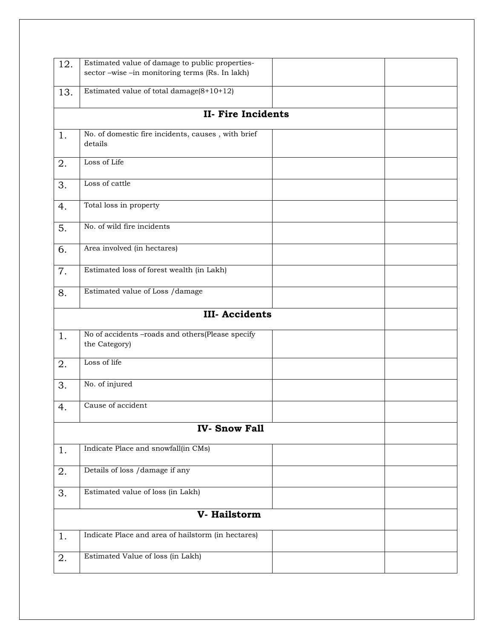| 12. | Estimated value of damage to public properties-    |  |  |  |  |  |  |
|-----|----------------------------------------------------|--|--|--|--|--|--|
|     | sector -wise -in monitoring terms (Rs. In lakh)    |  |  |  |  |  |  |
|     |                                                    |  |  |  |  |  |  |
| 13. | Estimated value of total damage $(8+10+12)$        |  |  |  |  |  |  |
|     |                                                    |  |  |  |  |  |  |
|     |                                                    |  |  |  |  |  |  |
|     | <b>II- Fire Incidents</b>                          |  |  |  |  |  |  |
|     |                                                    |  |  |  |  |  |  |
| 1.  | No. of domestic fire incidents, causes, with brief |  |  |  |  |  |  |
|     | details                                            |  |  |  |  |  |  |
|     | Loss of Life                                       |  |  |  |  |  |  |
| 2.  |                                                    |  |  |  |  |  |  |
|     |                                                    |  |  |  |  |  |  |
| 3.  | Loss of cattle                                     |  |  |  |  |  |  |
|     |                                                    |  |  |  |  |  |  |
| 4.  | Total loss in property                             |  |  |  |  |  |  |
|     |                                                    |  |  |  |  |  |  |
|     |                                                    |  |  |  |  |  |  |
| 5.  | No. of wild fire incidents                         |  |  |  |  |  |  |
|     |                                                    |  |  |  |  |  |  |
| 6.  | Area involved (in hectares)                        |  |  |  |  |  |  |
|     |                                                    |  |  |  |  |  |  |
| 7.  | Estimated loss of forest wealth (in Lakh)          |  |  |  |  |  |  |
|     |                                                    |  |  |  |  |  |  |
|     |                                                    |  |  |  |  |  |  |
| 8.  | Estimated value of Loss /damage                    |  |  |  |  |  |  |
|     |                                                    |  |  |  |  |  |  |
|     | <b>III-Accidents</b>                               |  |  |  |  |  |  |
|     |                                                    |  |  |  |  |  |  |
| 1.  | No of accidents -roads and others(Please specify   |  |  |  |  |  |  |
|     | the Category)                                      |  |  |  |  |  |  |
|     |                                                    |  |  |  |  |  |  |
| 2.  | Loss of life                                       |  |  |  |  |  |  |
|     |                                                    |  |  |  |  |  |  |
|     |                                                    |  |  |  |  |  |  |
| 3.  | No. of injured                                     |  |  |  |  |  |  |
|     |                                                    |  |  |  |  |  |  |
| 4.  | Cause of accident                                  |  |  |  |  |  |  |
|     |                                                    |  |  |  |  |  |  |
|     | <b>IV-Snow Fall</b>                                |  |  |  |  |  |  |
|     |                                                    |  |  |  |  |  |  |
|     |                                                    |  |  |  |  |  |  |
| 1.  | Indicate Place and snowfall(in CMs)                |  |  |  |  |  |  |
|     |                                                    |  |  |  |  |  |  |
| 2.  | Details of loss /damage if any                     |  |  |  |  |  |  |
|     |                                                    |  |  |  |  |  |  |
| 3.  | Estimated value of loss (in Lakh)                  |  |  |  |  |  |  |
|     |                                                    |  |  |  |  |  |  |
|     |                                                    |  |  |  |  |  |  |
|     | V- Hailstorm                                       |  |  |  |  |  |  |
|     |                                                    |  |  |  |  |  |  |
| 1.  | Indicate Place and area of hailstorm (in hectares) |  |  |  |  |  |  |
|     |                                                    |  |  |  |  |  |  |
| 2.  | Estimated Value of loss (in Lakh)                  |  |  |  |  |  |  |
|     |                                                    |  |  |  |  |  |  |
|     |                                                    |  |  |  |  |  |  |